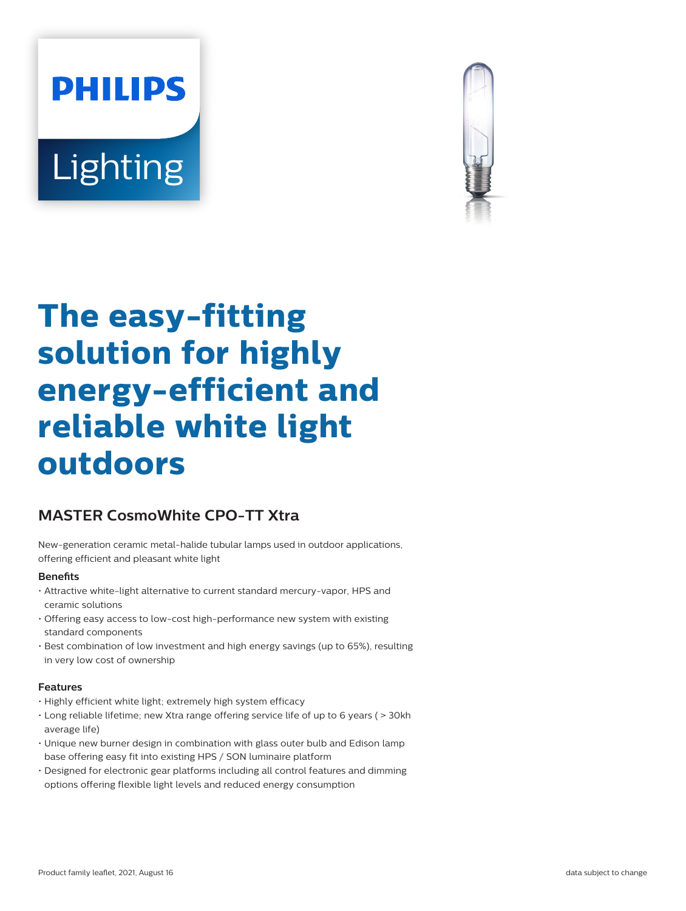# **PHILIPS** Lighting



# **The easy-fitting solution for highly energy-efficient and reliable white light outdoors**

# **MASTER CosmoWhite CPO-TT Xtra**

New-generation ceramic metal-halide tubular lamps used in outdoor applications, offering efficient and pleasant white light

# **Benefits**

- Attractive white-light alternative to current standard mercury-vapor, HPS and ceramic solutions
- Offering easy access to low-cost high-performance new system with existing standard components
- Best combination of low investment and high energy savings (up to 65%), resulting in very low cost of ownership

# **Features**

- Highly efficient white light; extremely high system efficacy
- Long reliable lifetime; new Xtra range offering service life of up to 6 years ( > 30kh average life)
- Unique new burner design in combination with glass outer bulb and Edison lamp base offering easy fit into existing HPS / SON luminaire platform
- Designed for electronic gear platforms including all control features and dimming options offering flexible light levels and reduced energy consumption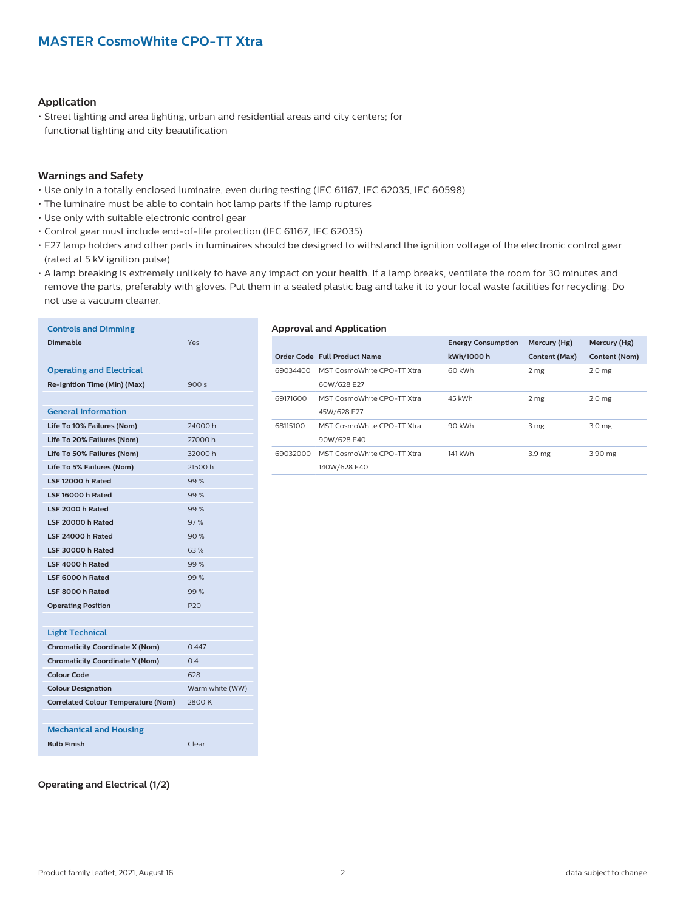# **Application**

• Street lighting and area lighting, urban and residential areas and city centers; for functional lighting and city beautification

# **Warnings and Safety**

- Use only in a totally enclosed luminaire, even during testing (IEC 61167, IEC 62035, IEC 60598)
- The luminaire must be able to contain hot lamp parts if the lamp ruptures
- Use only with suitable electronic control gear
- Control gear must include end-of-life protection (IEC 61167, IEC 62035)
- E27 lamp holders and other parts in luminaires should be designed to withstand the ignition voltage of the electronic control gear (rated at 5 kV ignition pulse)
- A lamp breaking is extremely unlikely to have any impact on your health. If a lamp breaks, ventilate the room for 30 minutes and remove the parts, preferably with gloves. Put them in a sealed plastic bag and take it to your local waste facilities for recycling. Do not use a vacuum cleaner.

| <b>Controls and Dimming</b>                |                 |
|--------------------------------------------|-----------------|
| <b>Dimmable</b>                            | Yes             |
|                                            |                 |
| <b>Operating and Electrical</b>            |                 |
| Re-Ignition Time (Min) (Max)               | 900s            |
|                                            |                 |
| <b>General Information</b>                 |                 |
| Life To 10% Failures (Nom)                 | 24000h          |
| Life To 20% Failures (Nom)                 | 27000h          |
| Life To 50% Failures (Nom)                 | 32000 h         |
| Life To 5% Failures (Nom)                  | 21500 h         |
| LSF 12000 h Rated                          | 99%             |
| LSF 16000 h Rated                          | 99%             |
| LSF 2000 h Rated                           | 99%             |
| LSF 20000 h Rated                          | 97%             |
| I SE 24000 h Rated                         | 90%             |
| LSF 30000 h Rated                          | 63%             |
| LSF 4000 h Rated                           | 99%             |
| LSF 6000 h Rated                           | 99%             |
| LSF 8000 h Rated                           | 99%             |
| <b>Operating Position</b>                  | P <sub>20</sub> |
|                                            |                 |
| <b>Light Technical</b>                     |                 |
| <b>Chromaticity Coordinate X (Nom)</b>     | 0.447           |
| <b>Chromaticity Coordinate Y (Nom)</b>     | 0.4             |
| <b>Colour Code</b>                         | 628             |
| <b>Colour Designation</b>                  | Warm white (WW) |
| <b>Correlated Colour Temperature (Nom)</b> | 2800 K          |
|                                            |                 |
| <b>Mechanical and Housing</b>              |                 |
| <b>Bulb Finish</b>                         | Clear           |

#### **Approval and Application**

|          |                              | <b>Energy Consumption</b> | Mercury (Hg)      | Mercury (Hg)      |
|----------|------------------------------|---------------------------|-------------------|-------------------|
|          | Order Code Full Product Name | kWh/1000 h                | Content (Max)     | Content (Nom)     |
| 69034400 | MST CosmoWhite CPO-TT Xtra   | 60 kWh                    | 2 <sub>mg</sub>   | 2.0 <sub>mg</sub> |
|          | 60W/628 E27                  |                           |                   |                   |
| 69171600 | MST CosmoWhite CPO-TT Xtra   | 45 kWh                    | 2 mg              | 2.0 <sub>me</sub> |
|          | 45W/628 E27                  |                           |                   |                   |
| 68115100 | MST CosmoWhite CPO-TT Xtra   | 90 kWh                    | 3 mg              | 3.0 <sub>me</sub> |
|          | 90W/628 E40                  |                           |                   |                   |
| 69032000 | MST CosmoWhite CPO-TT Xtra   | 141 kWh                   | 3.9 <sub>mg</sub> | 3.90 mg           |
|          | 140W/628 E40                 |                           |                   |                   |

#### **Operating and Electrical (1/2)**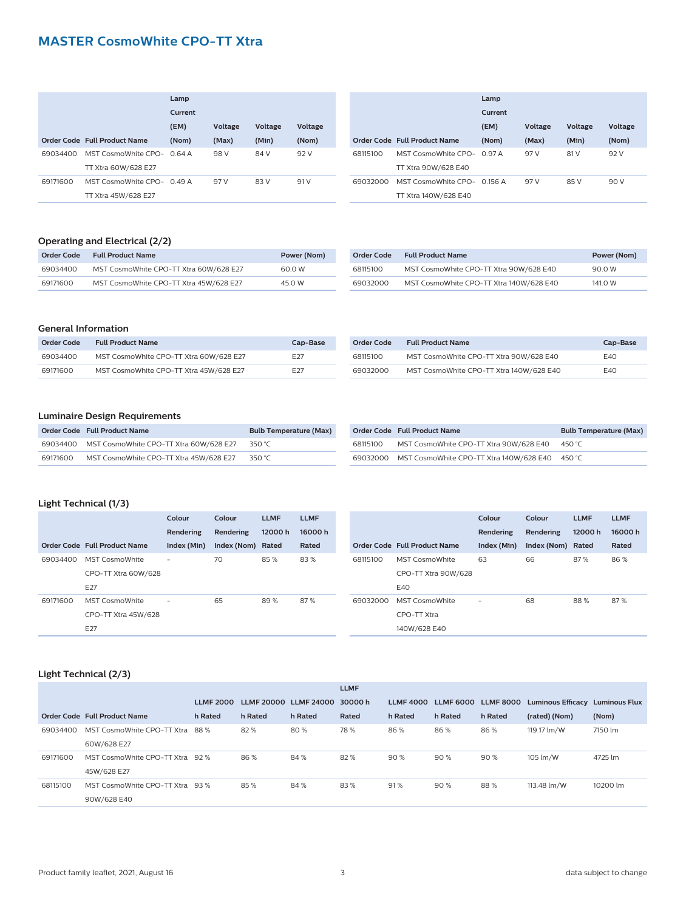# **MASTER CosmoWhite CPO-TT Xtra**

|          |                              | Lamp    |         |         |         |
|----------|------------------------------|---------|---------|---------|---------|
|          |                              | Current |         |         |         |
|          |                              | (EM)    | Voltage | Voltage | Voltage |
|          | Order Code Full Product Name | (Nom)   | (Max)   | (Min)   | (Nom)   |
| 69034400 | MST CosmoWhite CPO- 0.64 A   |         | 98 V    | 84 V    | 92 V    |
|          | TT Xtra 60W/628 E27          |         |         |         |         |
| 69171600 | MST CosmoWhite CPO- 0.49 A   |         | 97 V    | 83 V    | 91 V    |
|          | TT Xtra 45W/628 E27          |         |         |         |         |

|          |                              | Lamp    |         |                |         |
|----------|------------------------------|---------|---------|----------------|---------|
|          |                              | Current |         |                |         |
|          |                              | (EM)    | Voltage | <b>Voltage</b> | Voltage |
|          | Order Code Full Product Name | (Nom)   | (Max)   | (Min)          | (Nom)   |
| 68115100 | MST CosmoWhite CPO- 097 A    |         | 97 V    | 81 V           | 92 V    |
|          | TT Xtra 90W/628 E40          |         |         |                |         |
| 69032000 | MST CosmoWhite CPO- 0.156 A  |         | 97 V    | 85 V           | 90 V    |
|          | TT Xtra 140W/628 E40         |         |         |                |         |

# **Operating and Electrical (2/2)**

| Order Code | <b>Full Product Name</b>               | Power (Nom) |
|------------|----------------------------------------|-------------|
| 69034400   | MST CosmoWhite CPO-TT Xtra 60W/628 E27 | 60.0 W      |
| 69171600   | MST CosmoWhite CPO-TT Xtra 45W/628 E27 | 45.0 W      |

| Order Code | <b>Full Product Name</b>                | Power (Nom) |
|------------|-----------------------------------------|-------------|
| 68115100   | MST CosmoWhite CPO-TT Xtra 90W/628 E40  | 90.0 W      |
| 69032000   | MST CosmoWhite CPO-TT Xtra 140W/628 E40 | 141.0 W     |

#### **General Information**

| Order Code | <b>Full Product Name</b>               | Cap-Base        |
|------------|----------------------------------------|-----------------|
| 69034400   | MST CosmoWhite CPO-TT Xtra 60W/628 E27 | F <sub>27</sub> |
| 69171600   | MST CosmoWhite CPO-TT Xtra 45W/628 E27 | F <sub>27</sub> |

| Order Code | <b>Full Product Name</b>                | Cap-Base |
|------------|-----------------------------------------|----------|
| 68115100   | MST CosmoWhite CPO-TT Xtra 90W/628 E40  | F40      |
| 69032000   | MST CosmoWhite CPO-TT Xtra 140W/628 E40 | F40      |

# **Luminaire Design Requirements**

|          | Order Code Full Product Name                    | <b>Bulb Temperature (Max)</b> |
|----------|-------------------------------------------------|-------------------------------|
|          | 69034400 MST CosmoWhite CPO-TT Xtra 60W/628 E27 | 350 °C                        |
| 69171600 | MST CosmoWhite CPO-TT Xtra 45W/628 E27          | 350 °C                        |

|          | Order Code Full Product Name                     | <b>Bulb Temperature (Max)</b> |
|----------|--------------------------------------------------|-------------------------------|
| 68115100 | MST CosmoWhite CPO-TT Xtra 90W/628 E40           | 450 °C                        |
|          | 69032000 MST CosmoWhite CPO-TT Xtra 140W/628 E40 | 450 °C                        |

# **Light Technical (1/3)**

|          |                              | Colour                   | Colour            | <b>LLMF</b> | <b>LLMF</b> |          |                              | Colour                   | Colour            | <b>LLMF</b> | <b>LLMF</b> |
|----------|------------------------------|--------------------------|-------------------|-------------|-------------|----------|------------------------------|--------------------------|-------------------|-------------|-------------|
|          |                              | Rendering                | Rendering         | 12000h      | 16000h      |          |                              | Rendering                | Rendering         | 12000h      | 16000h      |
|          | Order Code Full Product Name | Index (Min)              | Index (Nom) Rated |             | Rated       |          | Order Code Full Product Name | Index (Min)              | Index (Nom) Rated |             | Rated       |
| 69034400 | <b>MST CosmoWhite</b>        | $\overline{\phantom{a}}$ | 70                | 85 %        | 83%         | 68115100 | MST CosmoWhite               | 63                       | 66                | 87%         | 86%         |
|          | CPO-TT Xtra 60W/628          |                          |                   |             |             |          | CPO-TT Xtra 90W/628          |                          |                   |             |             |
|          | E27                          |                          |                   |             |             |          | E40                          |                          |                   |             |             |
| 69171600 | MST CosmoWhite               | $\overline{\phantom{a}}$ | 65                | 89%         | 87%         | 69032000 | MST CosmoWhite               | $\overline{\phantom{a}}$ | 68                | 88%         | 87%         |
|          | CPO-TT Xtra 45W/628          |                          |                   |             |             |          | CPO-TT Xtra                  |                          |                   |             |             |
|          | E27                          |                          |                   |             |             |          | 140W/628 E40                 |                          |                   |             |             |

# **Light Technical (2/3)**

|          |                                 |                  |         |                       | <b>LLMF</b> |                  |         |                     |                          |                      |
|----------|---------------------------------|------------------|---------|-----------------------|-------------|------------------|---------|---------------------|--------------------------|----------------------|
|          |                                 | <b>LLMF 2000</b> |         | LLMF 20000 LLMF 24000 | 30000h      | <b>LLMF 4000</b> |         | LLMF 6000 LLMF 8000 | <b>Luminous Efficacy</b> | <b>Luminous Flux</b> |
|          | Order Code Full Product Name    | h Rated          | h Rated | h Rated               | Rated       | h Rated          | h Rated | h Rated             | (rated) (Nom)            | (Nom)                |
| 69034400 | MST CosmoWhite CPO-TT Xtra      | 88 %             | 82%     | 80%                   | 78%         | 86%              | 86 %    | 86%                 | 119.17 lm/W              | 7150 lm              |
|          | 60W/628 E27                     |                  |         |                       |             |                  |         |                     |                          |                      |
| 69171600 | MST CosmoWhite CPO-TT Xtra      | 92%              | 86%     | 84 %                  | 82%         | 90%              | 90%     | 90%                 | 105 lm/W                 | 4725 lm              |
|          | 45W/628 E27                     |                  |         |                       |             |                  |         |                     |                          |                      |
| 68115100 | MST CosmoWhite CPO-TT Xtra 93 % |                  | 85%     | 84 %                  | 83%         | 91%              | 90%     | 88%                 | 113.48 lm/W              | 10200 lm             |
|          | 90W/628 E40                     |                  |         |                       |             |                  |         |                     |                          |                      |